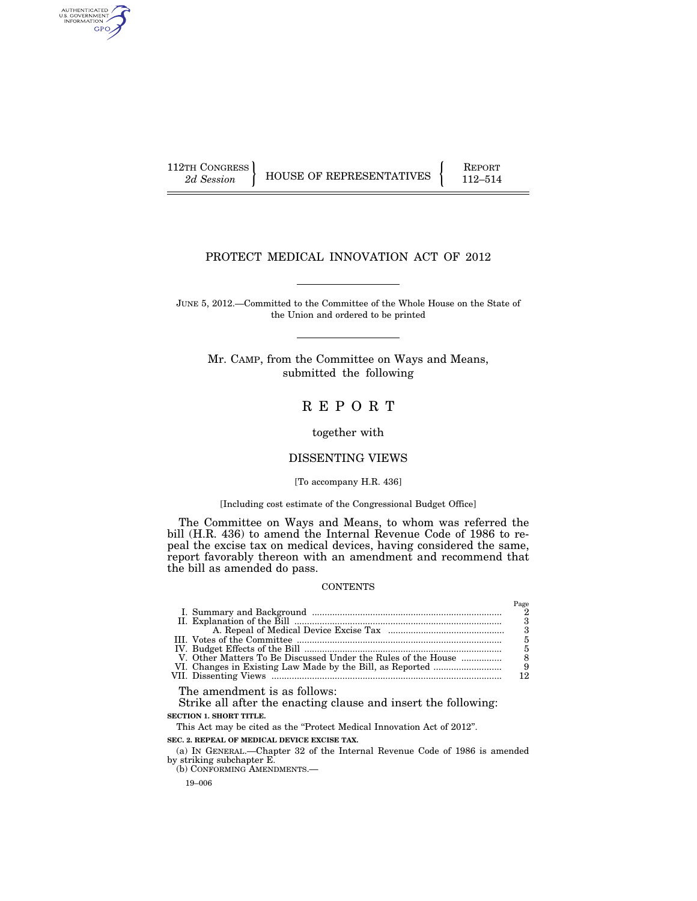AUTHENTICATED<br>U.S. GOVERNMENT<br>INFORMATION GPO

112TH CONGRESS HOUSE OF REPRESENTATIVES FEPORT 112–514

## PROTECT MEDICAL INNOVATION ACT OF 2012

JUNE 5, 2012.—Committed to the Committee of the Whole House on the State of the Union and ordered to be printed

Mr. CAMP, from the Committee on Ways and Means, submitted the following

# R E P O R T

together with

## DISSENTING VIEWS

#### [To accompany H.R. 436]

#### [Including cost estimate of the Congressional Budget Office]

The Committee on Ways and Means, to whom was referred the bill (H.R. 436) to amend the Internal Revenue Code of 1986 to repeal the excise tax on medical devices, having considered the same, report favorably thereon with an amendment and recommend that the bill as amended do pass.

## **CONTENTS**

|                                                               | 3   |
|---------------------------------------------------------------|-----|
|                                                               |     |
|                                                               |     |
|                                                               |     |
| V. Other Matters To Be Discussed Under the Rules of the House |     |
|                                                               | - 9 |
|                                                               | 19  |
|                                                               |     |

The amendment is as follows:

Strike all after the enacting clause and insert the following: **SECTION 1. SHORT TITLE.** 

This Act may be cited as the "Protect Medical Innovation Act of 2012".

**SEC. 2. REPEAL OF MEDICAL DEVICE EXCISE TAX.** 

(a) IN GENERAL.—Chapter 32 of the Internal Revenue Code of 1986 is amended by striking subchapter E.

(b) CONFORMING AMENDMENTS.—

19–006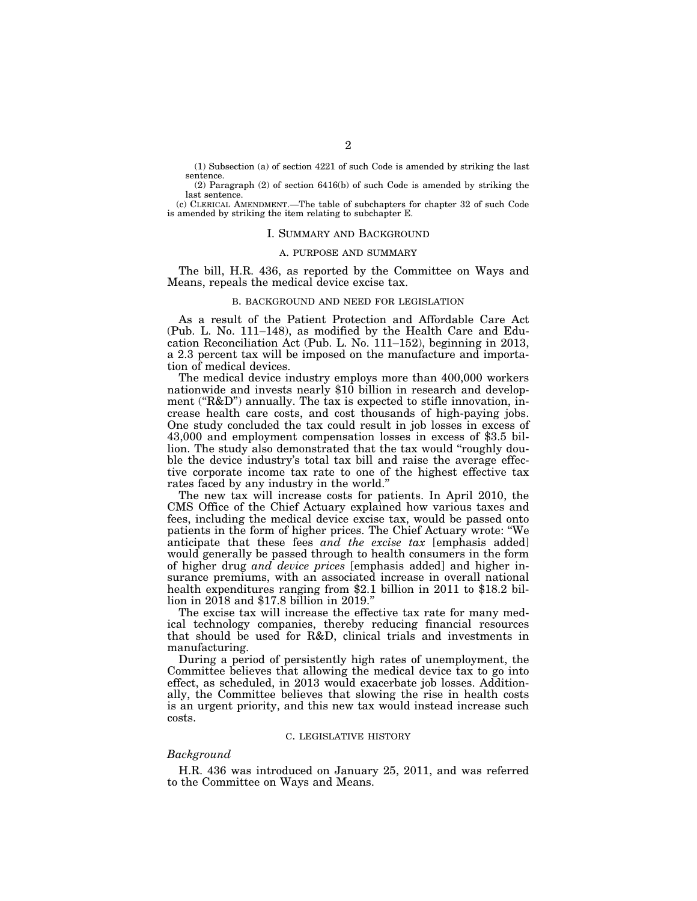(1) Subsection (a) of section 4221 of such Code is amended by striking the last sentence.

(2) Paragraph (2) of section 6416(b) of such Code is amended by striking the last sentence.

(c) CLERICAL AMENDMENT.—The table of subchapters for chapter 32 of such Code is amended by striking the item relating to subchapter E.

#### I. SUMMARY AND BACKGROUND

## A. PURPOSE AND SUMMARY

The bill, H.R. 436, as reported by the Committee on Ways and Means, repeals the medical device excise tax.

### B. BACKGROUND AND NEED FOR LEGISLATION

As a result of the Patient Protection and Affordable Care Act (Pub. L. No. 111–148), as modified by the Health Care and Education Reconciliation Act (Pub. L. No. 111–152), beginning in 2013, a 2.3 percent tax will be imposed on the manufacture and importation of medical devices.

The medical device industry employs more than 400,000 workers nationwide and invests nearly \$10 billion in research and development ("R&D") annually. The tax is expected to stifle innovation, increase health care costs, and cost thousands of high-paying jobs. One study concluded the tax could result in job losses in excess of 43,000 and employment compensation losses in excess of \$3.5 billion. The study also demonstrated that the tax would "roughly double the device industry's total tax bill and raise the average effective corporate income tax rate to one of the highest effective tax rates faced by any industry in the world.''

The new tax will increase costs for patients. In April 2010, the CMS Office of the Chief Actuary explained how various taxes and fees, including the medical device excise tax, would be passed onto patients in the form of higher prices. The Chief Actuary wrote: ''We anticipate that these fees *and the excise tax* [emphasis added] would generally be passed through to health consumers in the form of higher drug *and device prices* [emphasis added] and higher insurance premiums, with an associated increase in overall national health expenditures ranging from \$2.1 billion in 2011 to \$18.2 billion in 2018 and \$17.8 billion in 2019.''

The excise tax will increase the effective tax rate for many medical technology companies, thereby reducing financial resources that should be used for R&D, clinical trials and investments in manufacturing.

During a period of persistently high rates of unemployment, the Committee believes that allowing the medical device tax to go into effect, as scheduled, in 2013 would exacerbate job losses. Additionally, the Committee believes that slowing the rise in health costs is an urgent priority, and this new tax would instead increase such costs.

#### C. LEGISLATIVE HISTORY

#### *Background*

H.R. 436 was introduced on January 25, 2011, and was referred to the Committee on Ways and Means.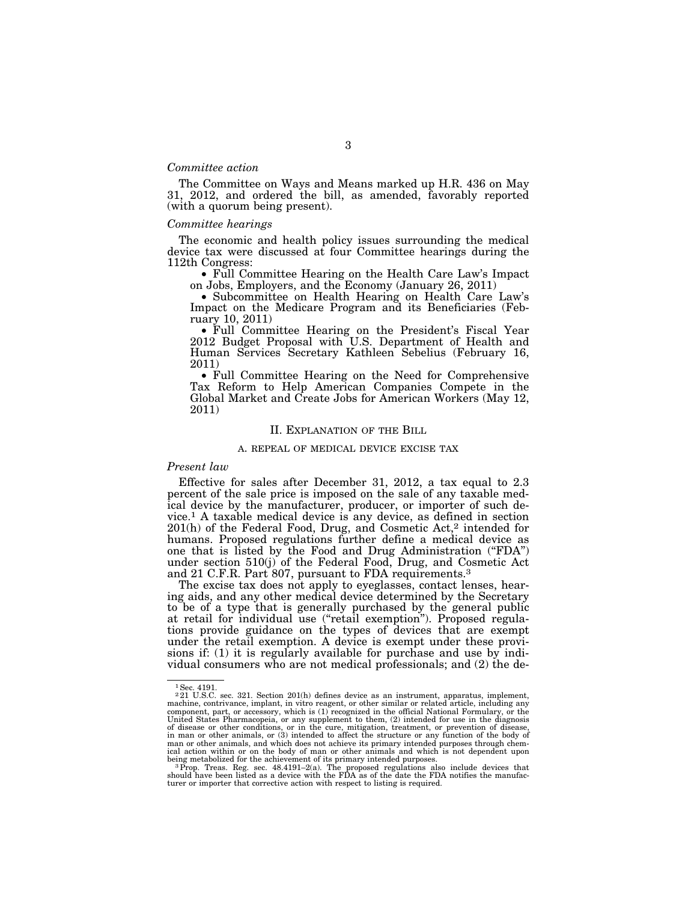#### *Committee action*

The Committee on Ways and Means marked up H.R. 436 on May 31, 2012, and ordered the bill, as amended, favorably reported (with a quorum being present).

#### *Committee hearings*

The economic and health policy issues surrounding the medical device tax were discussed at four Committee hearings during the 112th Congress:

• Full Committee Hearing on the Health Care Law's Impact on Jobs, Employers, and the Economy (January 26, 2011)

• Subcommittee on Health Hearing on Health Care Law's Impact on the Medicare Program and its Beneficiaries (February 10, 2011) • Full Committee Hearing on the President's Fiscal Year

2012 Budget Proposal with U.S. Department of Health and Human Services Secretary Kathleen Sebelius (February 16, 2011)

• Full Committee Hearing on the Need for Comprehensive Tax Reform to Help American Companies Compete in the Global Market and Create Jobs for American Workers (May 12, 2011)

#### II. EXPLANATION OF THE BILL

#### A. REPEAL OF MEDICAL DEVICE EXCISE TAX

#### *Present law*

Effective for sales after December 31, 2012, a tax equal to 2.3 percent of the sale price is imposed on the sale of any taxable medical device by the manufacturer, producer, or importer of such device.1 A taxable medical device is any device, as defined in section 201(h) of the Federal Food, Drug, and Cosmetic Act,2 intended for humans. Proposed regulations further define a medical device as one that is listed by the Food and Drug Administration (''FDA'') under section 510(j) of the Federal Food, Drug, and Cosmetic Act and 21 C.F.R. Part 807, pursuant to FDA requirements.3

The excise tax does not apply to eyeglasses, contact lenses, hearing aids, and any other medical device determined by the Secretary to be of a type that is generally purchased by the general public at retail for individual use (''retail exemption''). Proposed regulations provide guidance on the types of devices that are exempt under the retail exemption. A device is exempt under these provisions if: (1) it is regularly available for purchase and use by individual consumers who are not medical professionals; and (2) the de-

<sup>&</sup>lt;sup>1</sup> Sec. 4191.

<sup>2</sup> 21 U.S.C. sec. 321. Section 201(h) defines device as an instrument, apparatus, implement, machine, contrivance, implant, in vitro reagent, or other similar or related article, including any component, part, or accessory, which is (1) recognized in the official National Formulary, or the United States Pharmacopeia, or any supplement to them, (2) intended for use in the diagnosis<br>of disease or other conditions, or in the cure, mitigation, treatment, or prevention of disease,<br>in man or other animals, or (3) man or other animals, and which does not achieve its primary intended purposes through chem-ical action within or on the body of man or other animals and which is not dependent upon

being metabolized for the achievement of its primary intended purposes.<br><sup>3</sup> Prop. Treas. Reg. sec. 48.4191–2(a). The proposed regulations also include devices that<br>should have been listed as a device with the FDA as of the turer or importer that corrective action with respect to listing is required.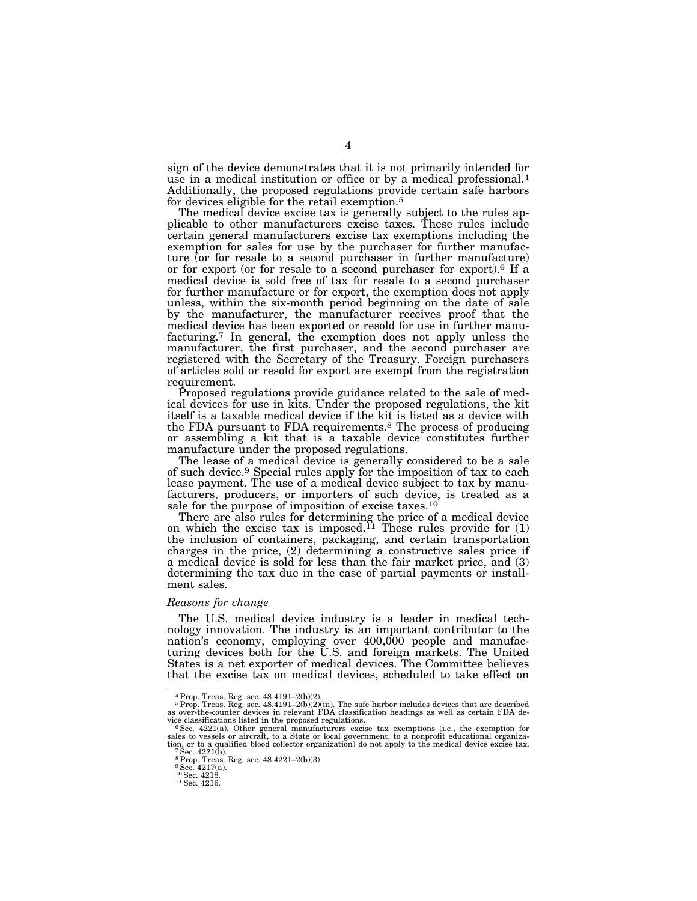sign of the device demonstrates that it is not primarily intended for use in a medical institution or office or by a medical professional.4 Additionally, the proposed regulations provide certain safe harbors for devices eligible for the retail exemption.5

4

The medical device excise tax is generally subject to the rules applicable to other manufacturers excise taxes. These rules include certain general manufacturers excise tax exemptions including the exemption for sales for use by the purchaser for further manufacture (or for resale to a second purchaser in further manufacture) or for export (or for resale to a second purchaser for export).6 If a medical device is sold free of tax for resale to a second purchaser for further manufacture or for export, the exemption does not apply unless, within the six-month period beginning on the date of sale by the manufacturer, the manufacturer receives proof that the medical device has been exported or resold for use in further manufacturing.7 In general, the exemption does not apply unless the manufacturer, the first purchaser, and the second purchaser are registered with the Secretary of the Treasury. Foreign purchasers of articles sold or resold for export are exempt from the registration requirement.

Proposed regulations provide guidance related to the sale of medical devices for use in kits. Under the proposed regulations, the kit itself is a taxable medical device if the kit is listed as a device with the FDA pursuant to FDA requirements.8 The process of producing or assembling a kit that is a taxable device constitutes further manufacture under the proposed regulations.

The lease of a medical device is generally considered to be a sale of such device.9 Special rules apply for the imposition of tax to each lease payment. The use of a medical device subject to tax by manufacturers, producers, or importers of such device, is treated as a sale for the purpose of imposition of excise taxes.<sup>10</sup>

There are also rules for determining the price of a medical device on which the excise tax is imposed.<sup>11</sup> These rules provide for  $(1)$ the inclusion of containers, packaging, and certain transportation charges in the price, (2) determining a constructive sales price if a medical device is sold for less than the fair market price, and (3) determining the tax due in the case of partial payments or installment sales.

#### *Reasons for change*

The U.S. medical device industry is a leader in medical technology innovation. The industry is an important contributor to the nation's economy, employing over 400,000 people and manufacturing devices both for the U.S. and foreign markets. The United States is a net exporter of medical devices. The Committee believes that the excise tax on medical devices, scheduled to take effect on

 $4$  Prop. Treas. Reg. sec.  $48.4191 - 2(b)(2)$ .

<sup>&</sup>lt;sup>5</sup>Prop. Treas. Reg. sec.  $48.4191-2(b)(2)(iii)$ . The safe harbor includes devices that are described as over-the-counter devices in relevant FDA classification headings as well as certain FDA de-

vice classifications listed in the proposed regulations.<br><sup>6</sup> Sec. 4221(a). Other general manufacturers excise tax exemptions (i.e., the exemption for<br>sales to vessels or aircraft, to a State or local government, to a nonpr tion, or to a qualified blood collector organization) do not apply to the medical device excise tax. 7Sec. 4221(b).

<sup>8</sup>Prop. Treas. Reg. sec. 48.4221–2(b)(3).

<sup>9</sup>Sec. 4217(a). Sec. 4217(a<br><sup>10</sup> Sec. 4218.<br><sup>11</sup> Sec. 4216.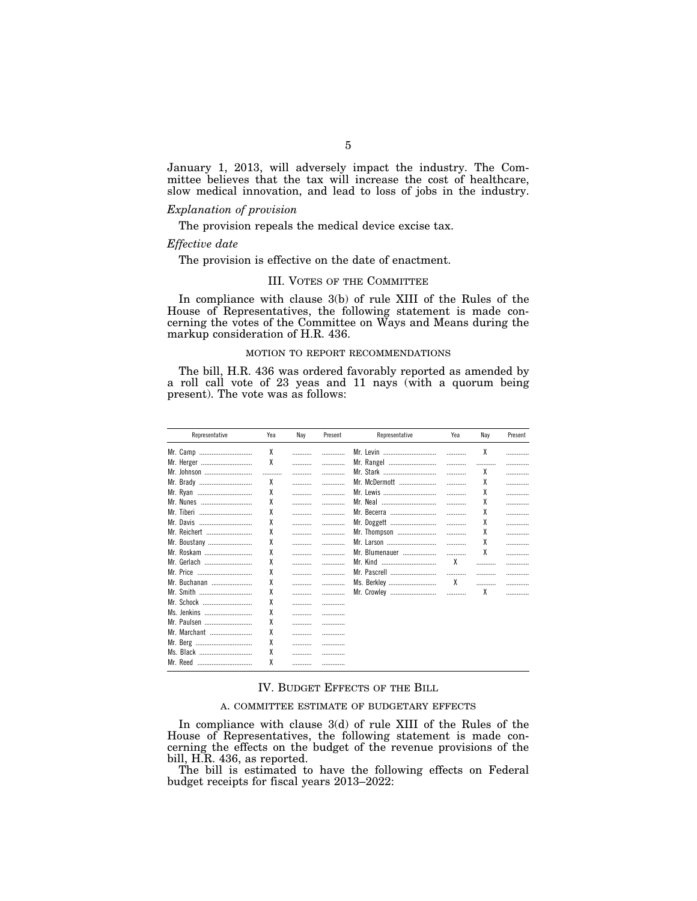January 1, 2013, will adversely impact the industry. The Committee believes that the tax will increase the cost of healthcare, slow medical innovation, and lead to loss of jobs in the industry.

## *Explanation of provision*

The provision repeals the medical device excise tax.

#### *Effective date*

The provision is effective on the date of enactment.

## III. VOTES OF THE COMMITTEE

In compliance with clause 3(b) of rule XIII of the Rules of the House of Representatives, the following statement is made concerning the votes of the Committee on Ways and Means during the markup consideration of H.R. 436.

#### MOTION TO REPORT RECOMMENDATIONS

The bill, H.R. 436 was ordered favorably reported as amended by a roll call vote of 23 yeas and 11 nays (with a quorum being present). The vote was as follows:

| Representative | Yea | Nay | Present | Representative | Yea | Nav | Present |
|----------------|-----|-----|---------|----------------|-----|-----|---------|
| Mr. Camp       | X   |     |         | Mr. Levin      |     | χ   |         |
| Mr. Herger     | χ   |     | .       | Mr. Rangel     |     |     | .       |
| Mr. Johnson    |     |     |         | Mr. Stark      |     | χ   | .       |
| Mr. Brady      | χ   | .   |         | Mr. McDermott  |     | χ   |         |
| Mr. Ryan       | χ   |     | .       | Mr. Lewis      |     | χ   |         |
| Mr. Nunes      | χ   |     | .       | Mr. Neal       |     | χ   | .       |
| Mr. Tiberi     | χ   |     | .       | Mr. Becerra    |     | χ   | .       |
| Mr. Davis      | X   |     |         | Mr. Doggett    |     | χ   | .       |
| Mr. Reichert   | χ   |     |         | Mr. Thompson   |     | χ   | .       |
| Mr. Boustany   | χ   | .   |         | Mr. Larson     |     | χ   | .       |
| Mr. Roskam     | χ   | .   | .       | Mr. Blumenauer |     | χ   | .       |
| Mr. Gerlach    | χ   |     |         | Mr. Kind       | χ   |     |         |
| Mr. Price      | χ   | .   | .       | Mr. Pascrell   |     |     | .       |
| Mr. Buchanan   | χ   |     |         | Ms. Berkley    | χ   |     |         |
| Mr. Smith      | χ   | .   |         | Mr. Crowley    | .   | χ   |         |
| Mr. Schock     | χ   |     | .       |                |     |     |         |
| Ms. Jenkins    | χ   | .   |         |                |     |     |         |
| Mr. Paulsen    | χ   |     |         |                |     |     |         |
| Mr. Marchant   | χ   |     |         |                |     |     |         |
| Mr. Berg       | χ   |     |         |                |     |     |         |
| Ms. Black      | χ   |     |         |                |     |     |         |
| Mr. Reed       | χ   | .   | .       |                |     |     |         |

## IV. BUDGET EFFECTS OF THE BILL

#### A. COMMITTEE ESTIMATE OF BUDGETARY EFFECTS

In compliance with clause 3(d) of rule XIII of the Rules of the House of Representatives, the following statement is made concerning the effects on the budget of the revenue provisions of the bill, H.R. 436, as reported.

The bill is estimated to have the following effects on Federal budget receipts for fiscal years 2013–2022: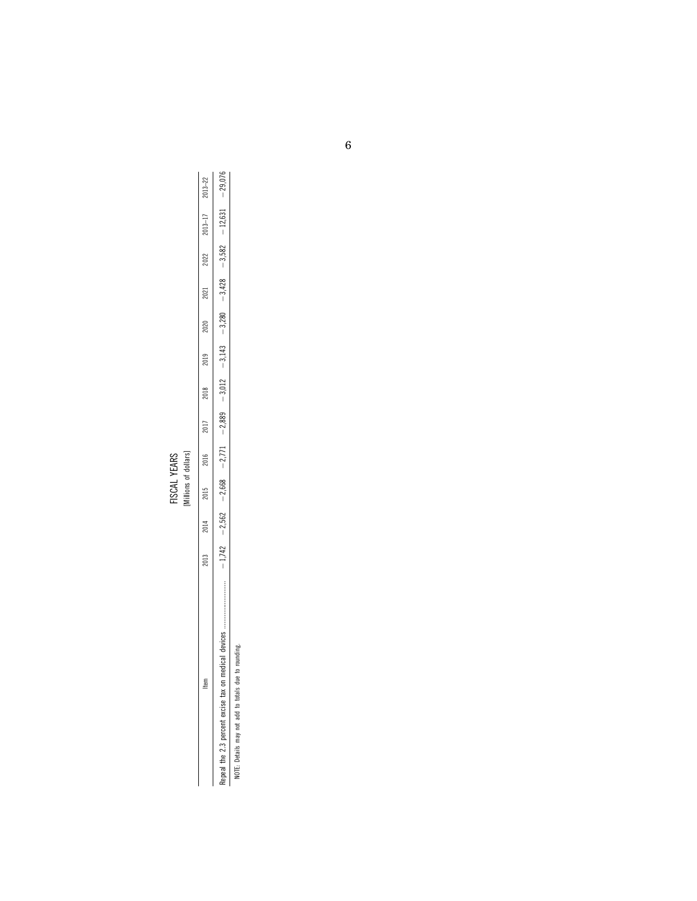|            | č |
|------------|---|
| VEARS      |   |
|            | S |
| <b>NOI</b> | ਙ |
|            |   |

|                                                         |      |      | [Millions of dollars]<br>FISCAL YEARS |      |      |      |                                                                                           |      |      |      |             |             |
|---------------------------------------------------------|------|------|---------------------------------------|------|------|------|-------------------------------------------------------------------------------------------|------|------|------|-------------|-------------|
| ltem                                                    | 2013 | 2014 | 2015                                  | 2016 | 2017 | 2018 | 2019                                                                                      | 2020 | 2021 | 2022 | $2013 - 17$ | $2013 - 22$ |
|                                                         |      |      | $-1,742 -2,562 -2,668 -2,771$         |      |      |      | $1730(21 - 289.67 - 827.67) - 0.002(20 - 210.67) - 0.000(20 - 21.67) - 0.000(20 - 21.67)$ |      |      |      |             | $-29,076$   |
| to rounding.<br>NOTE: Details may not add to totals due |      |      |                                       |      |      |      |                                                                                           |      |      |      |             |             |
|                                                         |      |      |                                       |      |      |      |                                                                                           |      |      |      |             |             |
|                                                         |      |      |                                       |      |      |      |                                                                                           |      |      |      |             |             |
|                                                         |      |      |                                       |      |      |      |                                                                                           |      |      |      |             |             |

6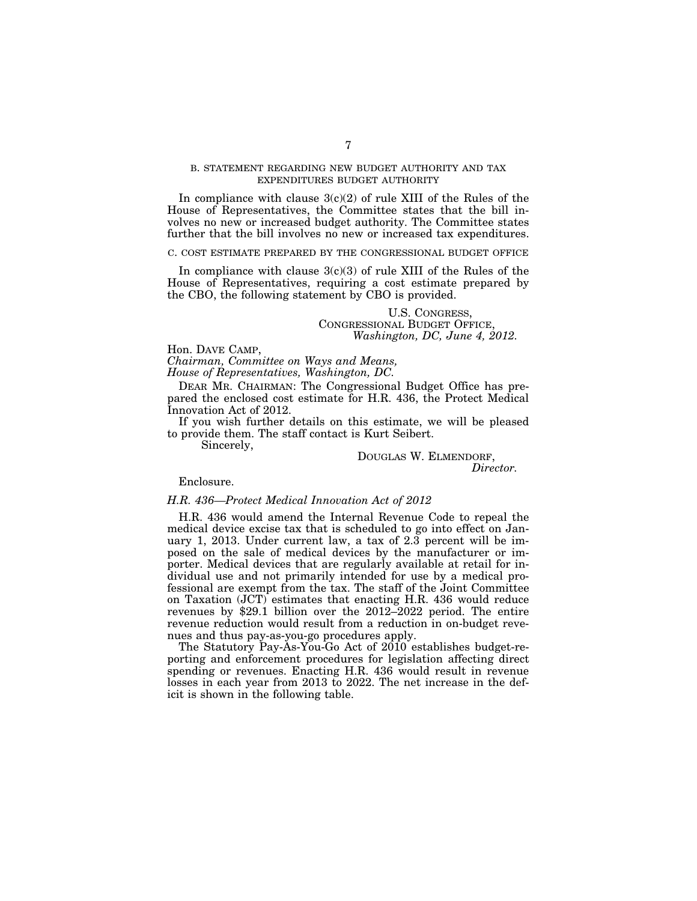### B. STATEMENT REGARDING NEW BUDGET AUTHORITY AND TAX EXPENDITURES BUDGET AUTHORITY

In compliance with clause  $3(c)(2)$  of rule XIII of the Rules of the House of Representatives, the Committee states that the bill involves no new or increased budget authority. The Committee states further that the bill involves no new or increased tax expenditures.

#### C. COST ESTIMATE PREPARED BY THE CONGRESSIONAL BUDGET OFFICE

In compliance with clause  $3(c)(3)$  of rule XIII of the Rules of the House of Representatives, requiring a cost estimate prepared by the CBO, the following statement by CBO is provided.

### U.S. CONGRESS, CONGRESSIONAL BUDGET OFFICE, *Washington, DC, June 4, 2012.*

Hon. DAVE CAMP,

*Chairman, Committee on Ways and Means, House of Representatives, Washington, DC.* 

DEAR MR. CHAIRMAN: The Congressional Budget Office has prepared the enclosed cost estimate for H.R. 436, the Protect Medical

Innovation Act of 2012. If you wish further details on this estimate, we will be pleased to provide them. The staff contact is Kurt Seibert.

Sincerely,

DOUGLAS W. ELMENDORF, *Director.* 

Enclosure.

#### *H.R. 436—Protect Medical Innovation Act of 2012*

H.R. 436 would amend the Internal Revenue Code to repeal the medical device excise tax that is scheduled to go into effect on January 1, 2013. Under current law, a tax of 2.3 percent will be imposed on the sale of medical devices by the manufacturer or importer. Medical devices that are regularly available at retail for individual use and not primarily intended for use by a medical professional are exempt from the tax. The staff of the Joint Committee on Taxation (JCT) estimates that enacting H.R. 436 would reduce revenues by \$29.1 billion over the 2012–2022 period. The entire revenue reduction would result from a reduction in on-budget revenues and thus pay-as-you-go procedures apply.

The Statutory Pay-As-You-Go Act of 2010 establishes budget-reporting and enforcement procedures for legislation affecting direct spending or revenues. Enacting H.R. 436 would result in revenue losses in each year from 2013 to 2022. The net increase in the deficit is shown in the following table.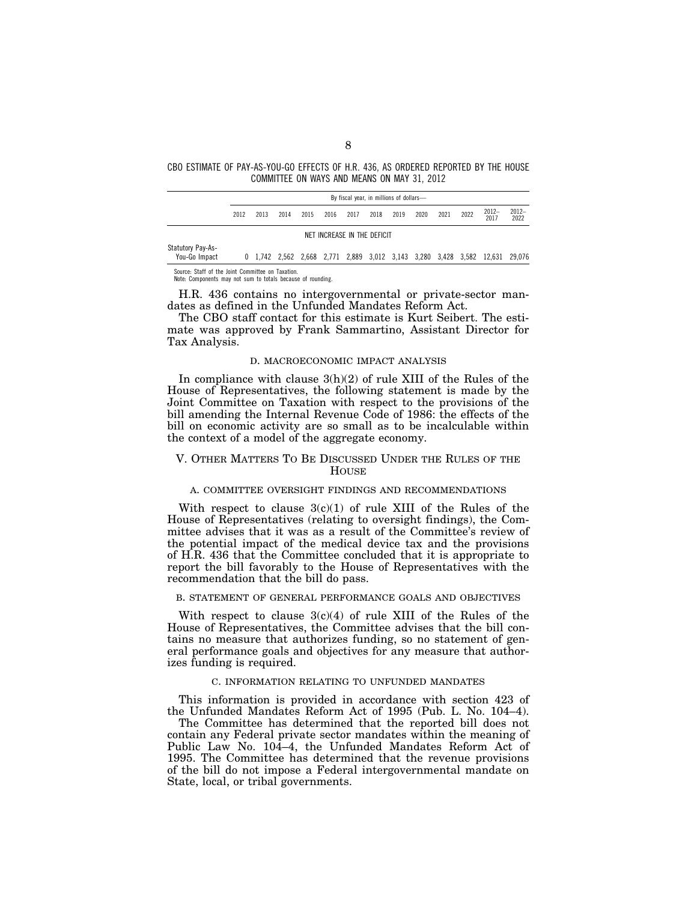CBO ESTIMATE OF PAY-AS-YOU-GO EFFECTS OF H.R. 436, AS ORDERED REPORTED BY THE HOUSE COMMITTEE ON WAYS AND MEANS ON MAY 31, 2012

|                                    |      |      |      |      |      | By fiscal year, in millions of dollars- |      |      |      |      |      |                                                                             |                 |
|------------------------------------|------|------|------|------|------|-----------------------------------------|------|------|------|------|------|-----------------------------------------------------------------------------|-----------------|
|                                    | 2012 | 2013 | 2014 | 2015 | 2016 | 2017                                    | 2018 | 2019 | 2020 | 2021 | 2022 | $2012-$<br>2017                                                             | $2012-$<br>2022 |
|                                    |      |      |      |      |      | NET INCREASE IN THE DEFICIT             |      |      |      |      |      |                                                                             |                 |
| Statutory Pay-As-<br>You-Go Impact |      |      |      |      |      |                                         |      |      |      |      |      | 0 1,742 2,562 2,668 2,771 2,889 3,012 3,143 3,280 3,428 3,582 12,631 29,076 |                 |

Source: Staff of the Joint Committee on Taxation. Note: Components may not sum to totals because of rounding.

H.R. 436 contains no intergovernmental or private-sector mandates as defined in the Unfunded Mandates Reform Act.

The CBO staff contact for this estimate is Kurt Seibert. The estimate was approved by Frank Sammartino, Assistant Director for Tax Analysis.

#### D. MACROECONOMIC IMPACT ANALYSIS

In compliance with clause  $3(h)(2)$  of rule XIII of the Rules of the House of Representatives, the following statement is made by the Joint Committee on Taxation with respect to the provisions of the bill amending the Internal Revenue Code of 1986: the effects of the bill on economic activity are so small as to be incalculable within the context of a model of the aggregate economy.

## V. OTHER MATTERS TO BE DISCUSSED UNDER THE RULES OF THE **HOUSE**

## A. COMMITTEE OVERSIGHT FINDINGS AND RECOMMENDATIONS

With respect to clause  $3(c)(1)$  of rule XIII of the Rules of the House of Representatives (relating to oversight findings), the Committee advises that it was as a result of the Committee's review of the potential impact of the medical device tax and the provisions of H.R. 436 that the Committee concluded that it is appropriate to report the bill favorably to the House of Representatives with the recommendation that the bill do pass.

#### B. STATEMENT OF GENERAL PERFORMANCE GOALS AND OBJECTIVES

With respect to clause  $3(c)(4)$  of rule XIII of the Rules of the House of Representatives, the Committee advises that the bill contains no measure that authorizes funding, so no statement of general performance goals and objectives for any measure that authorizes funding is required.

#### C. INFORMATION RELATING TO UNFUNDED MANDATES

This information is provided in accordance with section 423 of the Unfunded Mandates Reform Act of 1995 (Pub. L. No. 104–4).

The Committee has determined that the reported bill does not contain any Federal private sector mandates within the meaning of Public Law No. 104–4, the Unfunded Mandates Reform Act of 1995. The Committee has determined that the revenue provisions of the bill do not impose a Federal intergovernmental mandate on State, local, or tribal governments.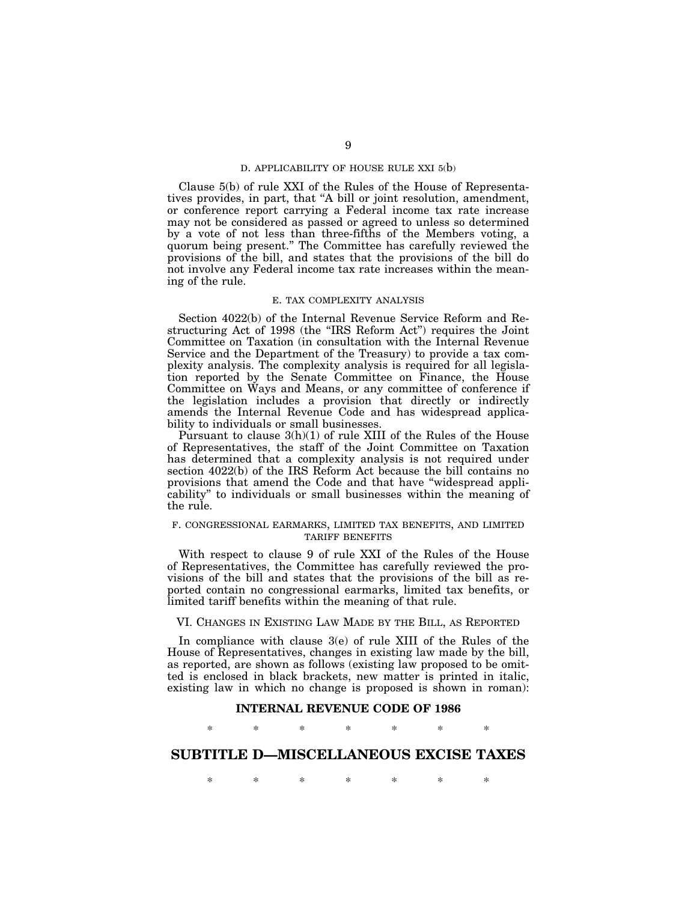#### D. APPLICABILITY OF HOUSE RULE XXI 5(b)

Clause 5(b) of rule XXI of the Rules of the House of Representatives provides, in part, that ''A bill or joint resolution, amendment, or conference report carrying a Federal income tax rate increase may not be considered as passed or agreed to unless so determined by a vote of not less than three-fifths of the Members voting, a quorum being present.'' The Committee has carefully reviewed the provisions of the bill, and states that the provisions of the bill do not involve any Federal income tax rate increases within the meaning of the rule.

### E. TAX COMPLEXITY ANALYSIS

Section 4022(b) of the Internal Revenue Service Reform and Restructuring Act of 1998 (the ''IRS Reform Act'') requires the Joint Committee on Taxation (in consultation with the Internal Revenue Service and the Department of the Treasury) to provide a tax complexity analysis. The complexity analysis is required for all legislation reported by the Senate Committee on Finance, the House Committee on Ways and Means, or any committee of conference if the legislation includes a provision that directly or indirectly amends the Internal Revenue Code and has widespread applicability to individuals or small businesses.

Pursuant to clause 3(h)(1) of rule XIII of the Rules of the House of Representatives, the staff of the Joint Committee on Taxation has determined that a complexity analysis is not required under section 4022(b) of the IRS Reform Act because the bill contains no provisions that amend the Code and that have ''widespread applicability'' to individuals or small businesses within the meaning of the rule.

## F. CONGRESSIONAL EARMARKS, LIMITED TAX BENEFITS, AND LIMITED TARIFF BENEFITS

With respect to clause 9 of rule XXI of the Rules of the House of Representatives, the Committee has carefully reviewed the provisions of the bill and states that the provisions of the bill as reported contain no congressional earmarks, limited tax benefits, or limited tariff benefits within the meaning of that rule.

## VI. CHANGES IN EXISTING LAW MADE BY THE BILL, AS REPORTED

In compliance with clause 3(e) of rule XIII of the Rules of the House of Representatives, changes in existing law made by the bill, as reported, are shown as follows (existing law proposed to be omitted is enclosed in black brackets, new matter is printed in italic, existing law in which no change is proposed is shown in roman):

### **INTERNAL REVENUE CODE OF 1986**

## \* \* \* \* \* \* \*

# **SUBTITLE D—MISCELLANEOUS EXCISE TAXES**

\* \* \* \* \* \* \*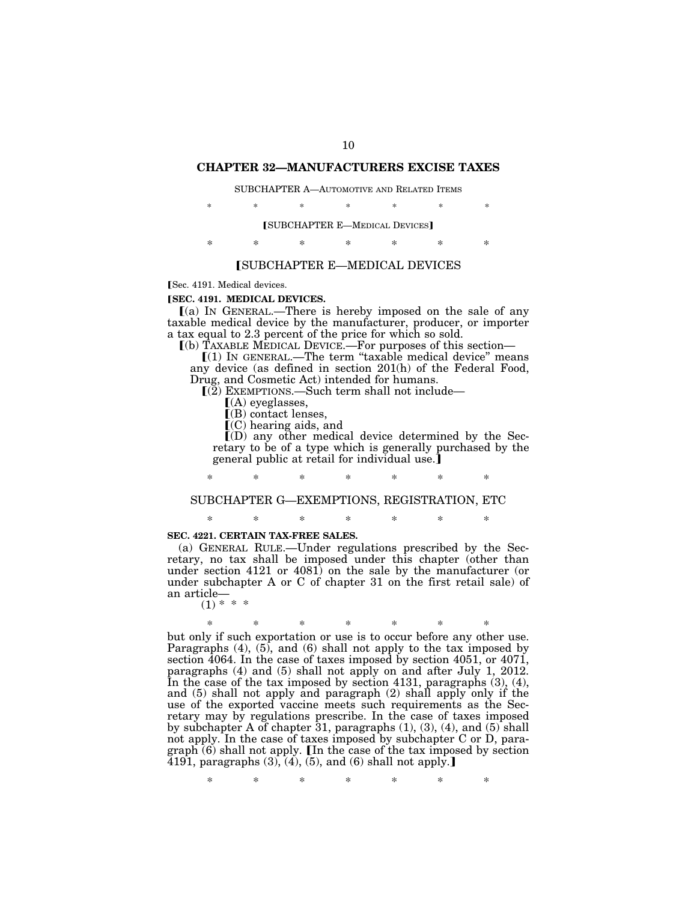#### **CHAPTER 32—MANUFACTURERS EXCISE TAXES**

#### SUBCHAPTER A—AUTOMOTIVE AND RELATED ITEMS

| ∗ | *      | * | ж.                                    | *      | ∗ | 米 |
|---|--------|---|---------------------------------------|--------|---|---|
|   |        |   | <b>[SUBCHAPTER E-MEDICAL DEVICES]</b> |        |   |   |
| × | $\ast$ | × | *                                     | $\ast$ |   |   |

#### **SUBCHAPTER E—MEDICAL DEVICES**

Sec. 4191. Medical devices.

#### **[SEC. 4191. MEDICAL DEVICES.**

 $(a)$  In GENERAL.—There is hereby imposed on the sale of any taxable medical device by the manufacturer, producer, or importer a tax equal to 2.3 percent of the price for which so sold.

ø(b) TAXABLE MEDICAL DEVICE.—For purposes of this section—

 $(1)$  IN GENERAL.—The term "taxable medical device" means any device (as defined in section 201(h) of the Federal Food, Drug, and Cosmetic Act) intended for humans.

 $(Q)$  EXEMPTIONS.—Such term shall not include—

 $(A)$  eyeglasses,

 $[(B)$  contact lenses,

 $\Gamma$ (C) hearing aids, and

 $I(D)$  any other medical device determined by the Secretary to be of a type which is generally purchased by the general public at retail for individual use.

\* \* \* \* \* \* \*

#### SUBCHAPTER G—EXEMPTIONS, REGISTRATION, ETC

### \* \* \* \* \* \* \*

#### **SEC. 4221. CERTAIN TAX-FREE SALES.**

(a) GENERAL RULE.—Under regulations prescribed by the Secretary, no tax shall be imposed under this chapter (other than under section 4121 or 4081) on the sale by the manufacturer (or under subchapter A or C of chapter 31 on the first retail sale) of an article—

 $(1) * * * *$ 

\* \* \* \* \* \* \*

but only if such exportation or use is to occur before any other use. Paragraphs  $(4)$ ,  $(5)$ , and  $(6)$  shall not apply to the tax imposed by section 4064. In the case of taxes imposed by section 4051, or 4071, paragraphs (4) and (5) shall not apply on and after July 1, 2012. In the case of the tax imposed by section 4131, paragraphs (3), (4), and (5) shall not apply and paragraph (2) shall apply only if the use of the exported vaccine meets such requirements as the Secretary may by regulations prescribe. In the case of taxes imposed by subchapter A of chapter  $31$ , paragraphs  $(1)$ ,  $(3)$ ,  $(4)$ , and  $(5)$  shall not apply. In the case of taxes imposed by subchapter C or D, paragraph (6) shall not apply. IIn the case of the tax imposed by section  $\overline{4191}$ , paragraphs  $(3)$ ,  $(4)$ ,  $(5)$ , and  $(6)$  shall not apply.

\* \* \* \* \* \* \*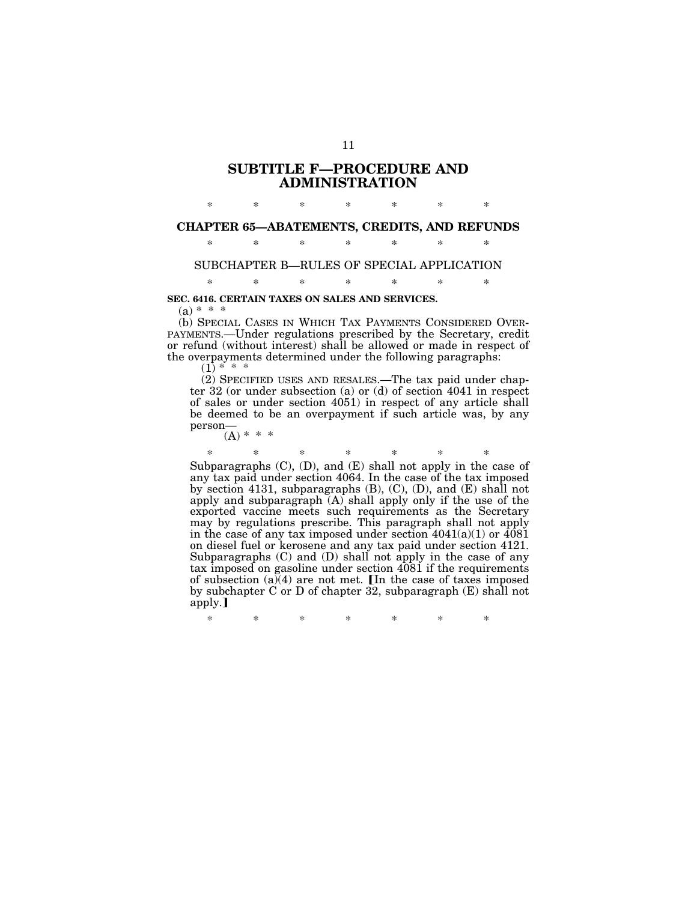# **SUBTITLE F—PROCEDURE AND ADMINISTRATION**

# \* \* \* \* \* \* \* **CHAPTER 65—ABATEMENTS, CREDITS, AND REFUNDS**

### \* \* \* \* \* \* \*

# SUBCHAPTER B—RULES OF SPECIAL APPLICATION \* \* \* \* \* \* \*

## **SEC. 6416. CERTAIN TAXES ON SALES AND SERVICES.**

 $(a) * * *$ 

(b) SPECIAL CASES IN WHICH TAX PAYMENTS CONSIDERED OVER-PAYMENTS.—Under regulations prescribed by the Secretary, credit or refund (without interest) shall be allowed or made in respect of the overpayments determined under the following paragraphs:

 $(1) * * * *$ 

(2) SPECIFIED USES AND RESALES.—The tax paid under chapter 32 (or under subsection (a) or (d) of section 4041 in respect of sales or under section 4051) in respect of any article shall be deemed to be an overpayment if such article was, by any person—

 $(A) * * * *$ 

\* \* \* \* \* \* \*

Subparagraphs  $(C)$ ,  $(D)$ , and  $(E)$  shall not apply in the case of any tax paid under section 4064. In the case of the tax imposed by section 4131, subparagraphs  $(B)$ ,  $(C)$ ,  $(D)$ , and  $(E)$  shall not apply and subparagraph  $(A)$  shall apply only if the use of the exported vaccine meets such requirements as the Secretary may by regulations prescribe. This paragraph shall not apply in the case of any tax imposed under section  $4041(a)(1)$  or  $\overline{4081}$ on diesel fuel or kerosene and any tax paid under section 4121. Subparagraphs (C) and (D) shall not apply in the case of any tax imposed on gasoline under section 4081 if the requirements of subsection  $(a)(4)$  are not met. [In the case of taxes imposed by subchapter C or D of chapter 32, subparagraph (E) shall not apply.

\* \* \* \* \* \* \*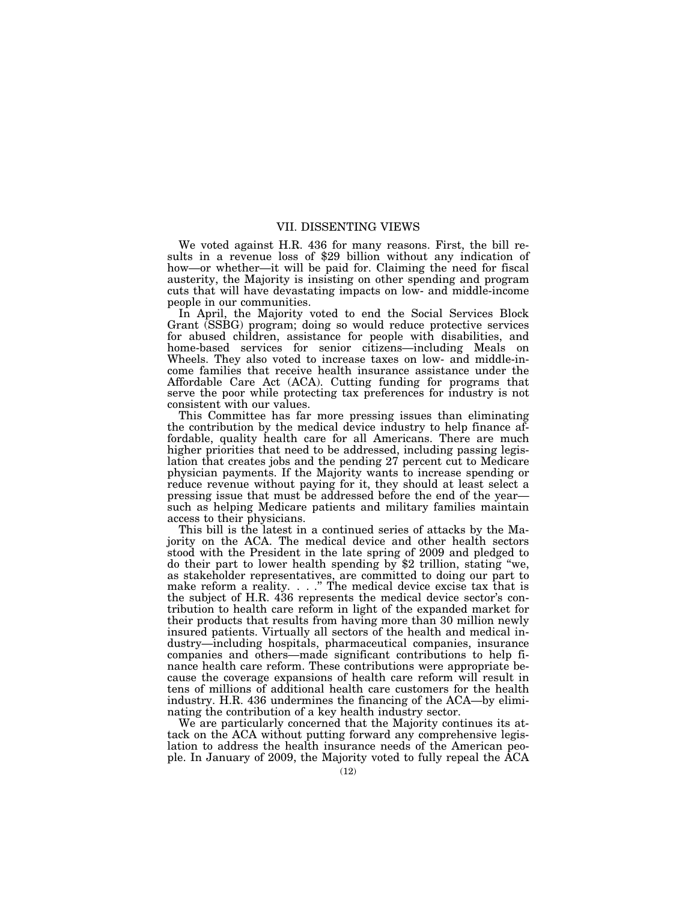## VII. DISSENTING VIEWS

We voted against H.R. 436 for many reasons. First, the bill results in a revenue loss of \$29 billion without any indication of how—or whether—it will be paid for. Claiming the need for fiscal austerity, the Majority is insisting on other spending and program cuts that will have devastating impacts on low- and middle-income people in our communities.

In April, the Majority voted to end the Social Services Block Grant (SSBG) program; doing so would reduce protective services for abused children, assistance for people with disabilities, and home-based services for senior citizens—including Meals on Wheels. They also voted to increase taxes on low- and middle-income families that receive health insurance assistance under the Affordable Care Act (ACA). Cutting funding for programs that serve the poor while protecting tax preferences for industry is not consistent with our values.

This Committee has far more pressing issues than eliminating the contribution by the medical device industry to help finance affordable, quality health care for all Americans. There are much higher priorities that need to be addressed, including passing legislation that creates jobs and the pending 27 percent cut to Medicare physician payments. If the Majority wants to increase spending or reduce revenue without paying for it, they should at least select a pressing issue that must be addressed before the end of the year such as helping Medicare patients and military families maintain access to their physicians.

This bill is the latest in a continued series of attacks by the Majority on the ACA. The medical device and other health sectors stood with the President in the late spring of 2009 and pledged to do their part to lower health spending by \$2 trillion, stating ''we, as stakeholder representatives, are committed to doing our part to make reform a reality. . . .'' The medical device excise tax that is the subject of H.R. 436 represents the medical device sector's contribution to health care reform in light of the expanded market for their products that results from having more than 30 million newly insured patients. Virtually all sectors of the health and medical industry—including hospitals, pharmaceutical companies, insurance companies and others—made significant contributions to help finance health care reform. These contributions were appropriate because the coverage expansions of health care reform will result in tens of millions of additional health care customers for the health industry. H.R. 436 undermines the financing of the ACA—by eliminating the contribution of a key health industry sector.

We are particularly concerned that the Majority continues its attack on the ACA without putting forward any comprehensive legislation to address the health insurance needs of the American people. In January of 2009, the Majority voted to fully repeal the ACA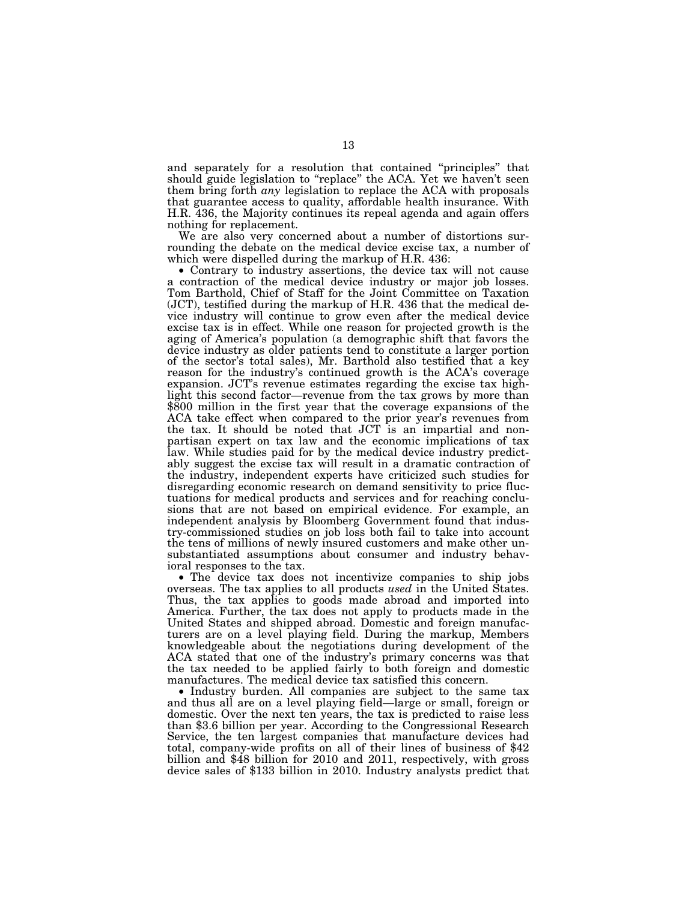and separately for a resolution that contained ''principles'' that should guide legislation to ''replace'' the ACA. Yet we haven't seen them bring forth *any* legislation to replace the ACA with proposals that guarantee access to quality, affordable health insurance. With H.R. 436, the Majority continues its repeal agenda and again offers nothing for replacement.

We are also very concerned about a number of distortions surrounding the debate on the medical device excise tax, a number of which were dispelled during the markup of H.R. 436:

• Contrary to industry assertions, the device tax will not cause a contraction of the medical device industry or major job losses. Tom Barthold, Chief of Staff for the Joint Committee on Taxation (JCT), testified during the markup of H.R. 436 that the medical device industry will continue to grow even after the medical device excise tax is in effect. While one reason for projected growth is the aging of America's population (a demographic shift that favors the device industry as older patients tend to constitute a larger portion of the sector's total sales), Mr. Barthold also testified that a key reason for the industry's continued growth is the ACA's coverage expansion. JCT's revenue estimates regarding the excise tax highlight this second factor—revenue from the tax grows by more than \$800 million in the first year that the coverage expansions of the ACA take effect when compared to the prior year's revenues from the tax. It should be noted that JCT is an impartial and nonpartisan expert on tax law and the economic implications of tax law. While studies paid for by the medical device industry predictably suggest the excise tax will result in a dramatic contraction of the industry, independent experts have criticized such studies for disregarding economic research on demand sensitivity to price fluctuations for medical products and services and for reaching conclusions that are not based on empirical evidence. For example, an independent analysis by Bloomberg Government found that industry-commissioned studies on job loss both fail to take into account the tens of millions of newly insured customers and make other unsubstantiated assumptions about consumer and industry behavioral responses to the tax.

• The device tax does not incentivize companies to ship jobs overseas. The tax applies to all products *used* in the United States. Thus, the tax applies to goods made abroad and imported into America. Further, the tax does not apply to products made in the United States and shipped abroad. Domestic and foreign manufacturers are on a level playing field. During the markup, Members knowledgeable about the negotiations during development of the ACA stated that one of the industry's primary concerns was that the tax needed to be applied fairly to both foreign and domestic manufactures. The medical device tax satisfied this concern.

• Industry burden. All companies are subject to the same tax and thus all are on a level playing field—large or small, foreign or domestic. Over the next ten years, the tax is predicted to raise less than \$3.6 billion per year. According to the Congressional Research Service, the ten largest companies that manufacture devices had total, company-wide profits on all of their lines of business of \$42 billion and \$48 billion for 2010 and 2011, respectively, with gross device sales of \$133 billion in 2010. Industry analysts predict that